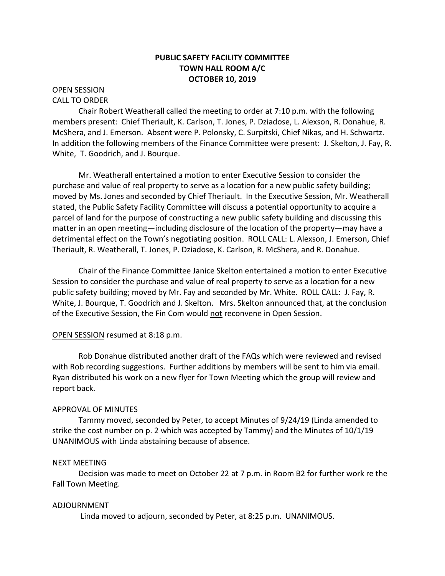# **PUBLIC SAFETY FACILITY COMMITTEE TOWN HALL ROOM A/C OCTOBER 10, 2019**

### OPEN SESSION CALL TO ORDER

Chair Robert Weatherall called the meeting to order at 7:10 p.m. with the following members present: Chief Theriault, K. Carlson, T. Jones, P. Dziadose, L. Alexson, R. Donahue, R. McShera, and J. Emerson. Absent were P. Polonsky, C. Surpitski, Chief Nikas, and H. Schwartz. In addition the following members of the Finance Committee were present: J. Skelton, J. Fay, R. White, T. Goodrich, and J. Bourque.

Mr. Weatherall entertained a motion to enter Executive Session to consider the purchase and value of real property to serve as a location for a new public safety building; moved by Ms. Jones and seconded by Chief Theriault. In the Executive Session, Mr. Weatherall stated, the Public Safety Facility Committee will discuss a potential opportunity to acquire a parcel of land for the purpose of constructing a new public safety building and discussing this matter in an open meeting—including disclosure of the location of the property—may have a detrimental effect on the Town's negotiating position. ROLL CALL: L. Alexson, J. Emerson, Chief Theriault, R. Weatherall, T. Jones, P. Dziadose, K. Carlson, R. McShera, and R. Donahue.

Chair of the Finance Committee Janice Skelton entertained a motion to enter Executive Session to consider the purchase and value of real property to serve as a location for a new public safety building; moved by Mr. Fay and seconded by Mr. White. ROLL CALL: J. Fay, R. White, J. Bourque, T. Goodrich and J. Skelton. Mrs. Skelton announced that, at the conclusion of the Executive Session, the Fin Com would not reconvene in Open Session.

# OPEN SESSION resumed at 8:18 p.m.

Rob Donahue distributed another draft of the FAQs which were reviewed and revised with Rob recording suggestions. Further additions by members will be sent to him via email. Ryan distributed his work on a new flyer for Town Meeting which the group will review and report back.

# APPROVAL OF MINUTES

Tammy moved, seconded by Peter, to accept Minutes of 9/24/19 (Linda amended to strike the cost number on p. 2 which was accepted by Tammy) and the Minutes of  $10/1/19$ UNANIMOUS with Linda abstaining because of absence.

### NEXT MEETING

Decision was made to meet on October 22 at 7 p.m. in Room B2 for further work re the Fall Town Meeting.

# ADJOURNMENT

Linda moved to adjourn, seconded by Peter, at 8:25 p.m. UNANIMOUS.